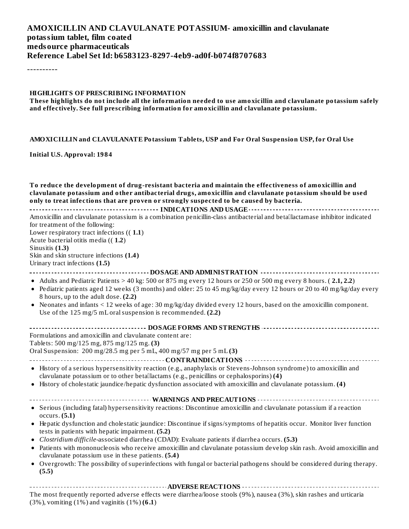#### **AMOXICILLIN AND CLAVULANATE POTASSIUM- amoxicillin and clavulanate potassium tablet, film coated medsource pharmaceuticals Reference Label Set Id: b6583123-8297-4eb9-ad0f-b074f8707683**

----------

#### **HIGHLIGHTS OF PRESCRIBING INFORMATION**

**These highlights do not include all the information needed to use amoxicillin and clavulanate potassium safely and effectively. See full prescribing information for amoxicillin and clavulanate potassium.**

#### **AMOXICILLIN and CLAVULANATE Potassium Tablets, USP and For Oral Suspension USP, for Oral Use**

**Initial U.S. Approval: 1984**

**To reduce the development of drug-resistant bacteria and maintain the effectiveness of amoxicillin and clavulanate potassium and other antibacterial drugs, amoxicillin and clavulanate potassium should be used only to treat infections that are proven or strongly suspected to be caused by bacteria. INDICATIONS AND USAGE**

| --------------------------    INDICATIONS AND        USAGE   -------------------                                                                                                        |
|-----------------------------------------------------------------------------------------------------------------------------------------------------------------------------------------|
| Amoxicillin and clavulanate potassium is a combination penicillin-class antibacterial and betallactamase inhibitor indicated                                                            |
| for treatment of the following:                                                                                                                                                         |
| Lower respiratory tract infections $((1.1)$                                                                                                                                             |
| Acute bacterial otitis media ((1.2)                                                                                                                                                     |
| Sinusitis $(1.3)$<br>Skin and skin structure infections (1.4)                                                                                                                           |
| Urinary tract infections (1.5)                                                                                                                                                          |
|                                                                                                                                                                                         |
| ---------------------------- DOSAGE AND ADMINISTRATION -------------------------                                                                                                        |
| • Adults and Pediatric Patients > 40 kg: 500 or 875 mg every 12 hours or 250 or 500 mg every 8 hours. (2.1, 2.2)                                                                        |
| • Pediatric patients aged 12 weeks (3 months) and older: 25 to 45 mg/kg/day every 12 hours or 20 to 40 mg/kg/day every                                                                  |
| 8 hours, up to the adult dose. (2.2)                                                                                                                                                    |
| • Neonates and infants < 12 weeks of age: 30 mg/kg/day divided every 12 hours, based on the amoxicillin component.                                                                      |
| Use of the 125 mg/5 mL oral suspension is recommended. (2.2)                                                                                                                            |
|                                                                                                                                                                                         |
| Formulations and amoxicillin and clavulanate content are:                                                                                                                               |
| Tablets: 500 mg/125 mg, 875 mg/125 mg. (3)                                                                                                                                              |
| Oral Suspension: 200 mg/28.5 mg per 5 mL, 400 mg/57 mg per 5 mL (3)                                                                                                                     |
|                                                                                                                                                                                         |
| • History of a serious hypersensitivity reaction (e.g., anaphylaxis or Stevens-Johnson syndrome) to amoxicillin and                                                                     |
| clavulanate potassium or to other betallactams (e.g., penicillins or cephalosporins) (4)                                                                                                |
| • History of cholestatic jaundice/hepatic dysfunction associated with amoxicillin and clavulanate potassium. (4)                                                                        |
|                                                                                                                                                                                         |
|                                                                                                                                                                                         |
| • Serious (including fatal) hypersensitivity reactions: Discontinue amoxicillin and clavulanate potassium if a reaction<br>occurs. $(5.1)$                                              |
| Hepatic dysfunction and cholestatic jaundice: Discontinue if signs/symptoms of hepatitis occur. Monitor liver function<br>$\bullet$<br>tests in patients with hepatic impairment. (5.2) |
| • Clostridium difficile-associated diarrhea (CDAD): Evaluate patients if diarrhea occurs. (5.3)                                                                                         |
| • Patients with mononucleosis who receive amoxicillin and clavulanate potassium develop skin rash. Avoid amoxicillin and                                                                |
| clavulanate potassium use in these patients. (5.4)                                                                                                                                      |
| Overgrowth: The possibility of superinfections with fungal or bacterial pathogens should be considered during therapy.<br>(5.5)                                                         |
|                                                                                                                                                                                         |
|                                                                                                                                                                                         |

The most frequently reported adverse effects were diarrhea/loose stools (9%), nausea (3%), skin rashes and urticaria (3%), vomiting (1%) and vaginitis (1%) **(6.1**)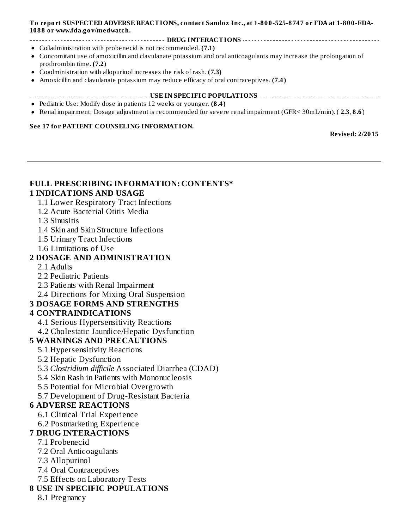#### **To report SUSPECTED ADVERSE REACTIONS, contact Sandoz Inc., at 1-800-525-8747 or FDA at 1-800-FDA-1088 or www.fda.gov/medwatch.**

- **DRUG INTERACTIONS**
- Colladministration with probenecid is not recommended. (7.1)
- Concomitant use of amoxicillin and clavulanate potassium and oral anticoagulants may increase the prolongation of prothrombin time. **(7.2**)
- Coadministration with allopurinol increases the risk of rash. **(7.3)**
- Amoxicillin and clavulanate potassium may reduce efficacy of oral contraceptives. **(7.4)**
- **USE IN SPECIFIC POPULATIONS**
- Pediatric Use: Modify dose in patients 12 weeks or younger. **(8.4)**
- Renal impairment; Dosage adjustment is recommended for severe renal impairment (GFR< 30mL/min). ( **2.3**, **8.6**)

#### **See 17 for PATIENT COUNSELING INFORMATION.**

**Revised: 2/2015**

# **FULL PRESCRIBING INFORMATION: CONTENTS\***

#### **1 INDICATIONS AND USAGE**

- 1.1 Lower Respiratory Tract Infections
- 1.2 Acute Bacterial Otitis Media
- 1.3 Sinusitis
- 1.4 Skin and Skin Structure Infections
- 1.5 Urinary Tract Infections
- 1.6 Limitations of Use

#### **2 DOSAGE AND ADMINISTRATION**

- 2.1 Adults
- 2.2 Pediatric Patients
- 2.3 Patients with Renal Impairment
- 2.4 Directions for Mixing Oral Suspension

#### **3 DOSAGE FORMS AND STRENGTHS**

#### **4 CONTRAINDICATIONS**

- 4.1 Serious Hypersensitivity Reactions
- 4.2 Cholestatic Jaundice/Hepatic Dysfunction

#### **5 WARNINGS AND PRECAUTIONS**

- 5.1 Hypersensitivity Reactions
- 5.2 Hepatic Dysfunction
- 5.3 *Clostridium difficile* Associated Diarrhea (CDAD)
- 5.4 Skin Rash in Patients with Mononucleosis
- 5.5 Potential for Microbial Overgrowth
- 5.7 Development of Drug-Resistant Bacteria

#### **6 ADVERSE REACTIONS**

- 6.1 Clinical Trial Experience
- 6.2 Postmarketing Experience

#### **7 DRUG INTERACTIONS**

- 7.1 Probenecid
- 7.2 Oral Anticoagulants
- 7.3 Allopurinol
- 7.4 Oral Contraceptives
- 7.5 Effects on Laboratory Tests
- **8 USE IN SPECIFIC POPULATIONS**
	- 8.1 Pregnancy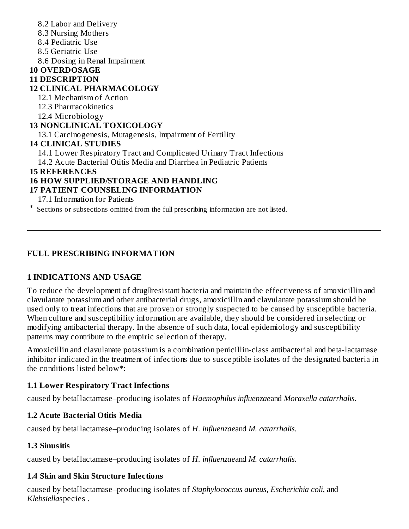- 8.2 Labor and Delivery
- 8.3 Nursing Mothers
- 8.4 Pediatric Use
- 8.5 Geriatric Use
- 8.6 Dosing in Renal Impairment

# **10 OVERDOSAGE**

#### **11 DESCRIPTION**

#### **12 CLINICAL PHARMACOLOGY**

- 12.1 Mechanism of Action
- 12.3 Pharmacokinetics
- 12.4 Microbiology

## **13 NONCLINICAL TOXICOLOGY**

13.1 Carcinogenesis, Mutagenesis, Impairment of Fertility

#### **14 CLINICAL STUDIES**

14.1 Lower Respiratory Tract and Complicated Urinary Tract Infections

14.2 Acute Bacterial Otitis Media and Diarrhea in Pediatric Patients

#### **15 REFERENCES**

## **16 HOW SUPPLIED/STORAGE AND HANDLING**

#### **17 PATIENT COUNSELING INFORMATION**

17.1 Information for Patients

\* Sections or subsections omitted from the full prescribing information are not listed.

## **FULL PRESCRIBING INFORMATION**

## **1 INDICATIONS AND USAGE**

To reduce the development of drugllresistant bacteria and maintain the effectiveness of amoxicillin and clavulanate potassium and other antibacterial drugs, amoxicillin and clavulanate potassium should be used only to treat infections that are proven or strongly suspected to be caused by susceptible bacteria. When culture and susceptibility information are available, they should be considered in selecting or modifying antibacterial therapy. In the absence of such data, local epidemiology and susceptibility patterns may contribute to the empiric selection of therapy.

Amoxicillin and clavulanate potassium is a combination penicillin-class antibacterial and beta-lactamase inhibitor indicated in the treatment of infections due to susceptible isolates of the designated bacteria in the conditions listed below\*:

## **1.1 Lower Respiratory Tract Infections**

caused by betallactamase–producing isolates of *Haemophilus influenzaeand Moraxella catarrhalis*.

## **1.2 Acute Bacterial Otitis Media**

caused by betallactamase–producing isolates of *H. influenzaeand M. catarrhalis.* 

## **1.3 Sinusitis**

caused by betallactamase–producing isolates of *H. influenzaeand M. catarrhalis.* 

## **1.4 Skin and Skin Structure Infections**

caused by betalactamase–producing isolates of *Staphylococcus aureus, Escherichia coli,* and *Klebsiella*species *.*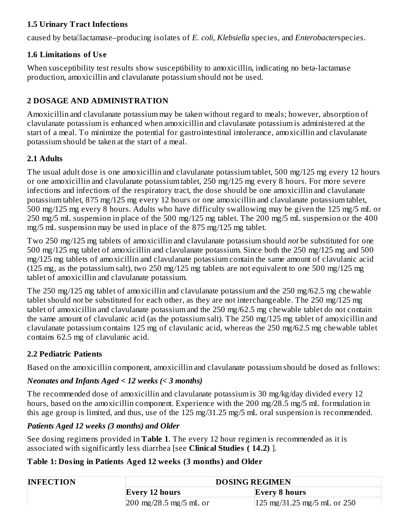#### **1.5 Urinary Tract Infections**

caused by betallactamase–producing isolates of *E. coli, Klebsiella* species, and *Enterobacterspecies*.

#### **1.6 Limitations of Us e**

When susceptibility test results show susceptibility to amoxicillin, indicating no beta-lactamase production, amoxicillin and clavulanate potassium should not be used.

#### **2 DOSAGE AND ADMINISTRATION**

Amoxicillin and clavulanate potassium may be taken without regard to meals; however, absorption of clavulanate potassium is enhanced when amoxicillin and clavulanate potassium is administered at the start of a meal. To minimize the potential for gastrointestinal intolerance, amoxicillin and clavulanate potassium should be taken at the start of a meal.

#### **2.1 Adults**

The usual adult dose is one amoxicillin and clavulanate potassium tablet, 500 mg/125 mg every 12 hours or one amoxicillin and clavulanate potassium tablet, 250 mg/125 mg every 8 hours. For more severe infections and infections of the respiratory tract, the dose should be one amoxicillin and clavulanate potassium tablet, 875 mg/125 mg every 12 hours or one amoxicillin and clavulanate potassium tablet, 500 mg/125 mg every 8 hours. Adults who have difficulty swallowing may be given the 125 mg/5 mL or 250 mg/5 mL suspension in place of the 500 mg/125 mg tablet. The 200 mg/5 mL suspension or the 400 mg/5 mL suspension may be used in place of the 875 mg/125 mg tablet.

Two 250 mg/125 mg tablets of amoxicillin and clavulanate potassium should *not* be substituted for one 500 mg/125 mg tablet of amoxicillin and clavulanate potassium. Since both the 250 mg/125 mg and 500 mg/125 mg tablets of amoxicillin and clavulanate potassium contain the same amount of clavulanic acid (125 mg, as the potassium salt), two 250 mg/125 mg tablets are not equivalent to one 500 mg/125 mg tablet of amoxicillin and clavulanate potassium.

The 250 mg/125 mg tablet of amoxicillin and clavulanate potassium and the 250 mg/62.5 mg chewable tablet should *not* be substituted for each other, as they are not interchangeable. The 250 mg/125 mg tablet of amoxicillin and clavulanate potassium and the 250 mg/62.5 mg chewable tablet do not contain the same amount of clavulanic acid (as the potassium salt). The 250 mg/125 mg tablet of amoxicillin and clavulanate potassium contains 125 mg of clavulanic acid, whereas the 250 mg/62.5 mg chewable tablet contains 62.5 mg of clavulanic acid.

#### **2.2 Pediatric Patients**

Based on the amoxicillin component, amoxicillin and clavulanate potassium should be dosed as follows:

#### *Neonates and Infants Aged < 12 weeks (< 3 months)*

The recommended dose of amoxicillin and clavulanate potassium is 30 mg/kg/day divided every 12 hours, based on the amoxicillin component. Experience with the 200 mg/28.5 mg/5 mL formulation in this age group is limited, and thus, use of the 125 mg/31.25 mg/5 mL oral suspension is recommended.

#### *Patients Aged 12 weeks (3 months) and Older*

See dosing regimens provided in **Table 1**. The every 12 hour regimen is recommended as it is associated with significantly less diarrhea [see **Clinical Studies ( 14.2)** ].

#### **Table 1: Dosing in Patients Aged 12 weeks (3 months) and Older**

| <b>INFECTION</b> | <b>DOSING REGIMEN</b>                            |                                                       |
|------------------|--------------------------------------------------|-------------------------------------------------------|
|                  | Every 12 hours                                   | Every 8 hours                                         |
|                  | $200 \text{ mg}/28.5 \text{ mg}/5 \text{ mL}$ or | $125 \text{ mg}/31.25 \text{ mg}/5 \text{ mL}$ or 250 |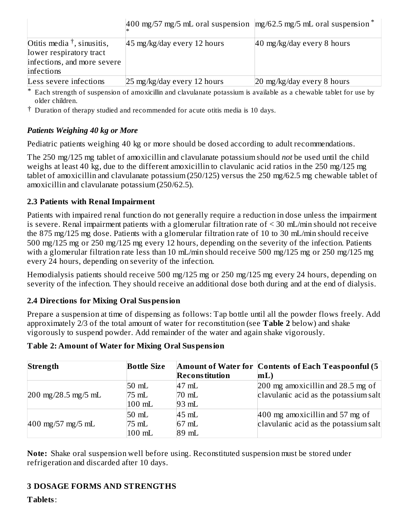|                                                                                                             | $ 400 \text{ mg}}/57 \text{ mg}}/5 \text{ mL}$ oral suspension $ \text{mg}}/62.5 \text{ mg}}/5 \text{ mL}$ oral suspension $*$ |                                       |
|-------------------------------------------------------------------------------------------------------------|--------------------------------------------------------------------------------------------------------------------------------|---------------------------------------|
| Otitis media $\dagger$ , sinusitis,<br>lower respiratory tract<br>infections, and more severe<br>infections | 45 mg/kg/day every 12 hours                                                                                                    | $ 40 \text{ mg/kg/day}$ every 8 hours |
| Less severe infections                                                                                      | 25 mg/kg/day every 12 hours                                                                                                    | 20 mg/kg/day every 8 hours            |

\* Each strength of suspension of amoxicillin and clavulanate potassium is available as a chewable tablet for use by older children.

† Duration of therapy studied and recommended for acute otitis media is 10 days.

#### *Patients Weighing 40 kg or More*

Pediatric patients weighing 40 kg or more should be dosed according to adult recommendations.

The 250 mg/125 mg tablet of amoxicillin and clavulanate potassium should *not* be used until the child weighs at least 40 kg, due to the different amoxicillin to clavulanic acid ratios in the 250 mg/125 mg tablet of amoxicillin and clavulanate potassium (250/125) versus the 250 mg/62.5 mg chewable tablet of amoxicillin and clavulanate potassium (250/62.5).

#### **2.3 Patients with Renal Impairment**

Patients with impaired renal function do not generally require a reduction in dose unless the impairment is severe. Renal impairment patients with a glomerular filtration rate of < 30 mL/min should not receive the 875 mg/125 mg dose. Patients with a glomerular filtration rate of 10 to 30 mL/min should receive 500 mg/125 mg or 250 mg/125 mg every 12 hours, depending on the severity of the infection. Patients with a glomerular filtration rate less than 10 mL/min should receive 500 mg/125 mg or 250 mg/125 mg every 24 hours, depending on severity of the infection.

Hemodialysis patients should receive 500 mg/125 mg or 250 mg/125 mg every 24 hours, depending on severity of the infection. They should receive an additional dose both during and at the end of dialysis.

## **2.4 Directions for Mixing Oral Suspension**

Prepare a suspension at time of dispensing as follows: Tap bottle until all the powder flows freely. Add approximately 2/3 of the total amount of water for reconstitution (see **Table 2** below) and shake vigorously to suspend powder. Add remainder of the water and again shake vigorously.

| Strength                                        | <b>Bottle Size</b> |                       | Amount of Water for Contents of Each Teaspoonful (5 |
|-------------------------------------------------|--------------------|-----------------------|-----------------------------------------------------|
|                                                 |                    | <b>Reconstitution</b> | mL                                                  |
|                                                 | $50$ mL            | $47$ mL               | 200 mg amoxicillin and 28.5 mg of                   |
| $[200 \text{ mg}/28.5 \text{ mg}/5 \text{ mL}]$ | 75 mL              | $70$ mL               | clavulanic acid as the potassium salt               |
|                                                 | $100$ mL           | $93 \text{ mL}$       |                                                     |
|                                                 | $50$ mL            | $ 45 \text{ mL} $     | $ 400 \text{ mg}$ amoxicillin and 57 mg of          |
| $400 \text{ mg}/57 \text{ mg}/5 \text{ mL}$     | 75 mL              | $67$ mL               | clavulanic acid as the potassium salt               |
|                                                 | $100$ mL           | $89$ mL               |                                                     |

#### **Table 2: Amount of Water for Mixing Oral Suspension**

**Note:** Shake oral suspension well before using. Reconstituted suspension must be stored under refrigeration and discarded after 10 days.

# **3 DOSAGE FORMS AND STRENGTHS**

**Tablets**: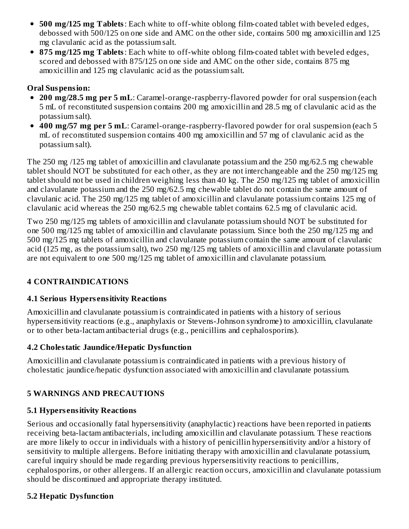- **500 mg/125 mg Tablets**: Each white to off-white oblong film-coated tablet with beveled edges, debossed with 500/125 on one side and AMC on the other side, contains 500 mg amoxicillin and 125 mg clavulanic acid as the potassium salt.
- **875 mg/125 mg Tablets**: Each white to off-white oblong film-coated tablet with beveled edges, scored and debossed with 875/125 on one side and AMC on the other side, contains 875 mg amoxicillin and 125 mg clavulanic acid as the potassium salt.

#### **Oral Suspension:**

- **200 mg/28.5 mg per 5 mL**: Caramel-orange-raspberry-flavored powder for oral suspension (each 5 mL of reconstituted suspension contains 200 mg amoxicillin and 28.5 mg of clavulanic acid as the potassium salt).
- **400 mg/57 mg per 5 mL**: Caramel-orange-raspberry-flavored powder for oral suspension (each 5 mL of reconstituted suspension contains 400 mg amoxicillin and 57 mg of clavulanic acid as the potassium salt).

The 250 mg /125 mg tablet of amoxicillin and clavulanate potassium and the 250 mg/62.5 mg chewable tablet should NOT be substituted for each other, as they are not interchangeable and the 250 mg/125 mg tablet should not be used in children weighing less than 40 kg. The 250 mg/125 mg tablet of amoxicillin and clavulanate potassium and the 250 mg/62.5 mg chewable tablet do not contain the same amount of clavulanic acid. The 250 mg/125 mg tablet of amoxicillin and clavulanate potassium contains 125 mg of clavulanic acid whereas the 250 mg/62.5 mg chewable tablet contains 62.5 mg of clavulanic acid.

Two 250 mg/125 mg tablets of amoxicillin and clavulanate potassium should NOT be substituted for one 500 mg/125 mg tablet of amoxicillin and clavulanate potassium. Since both the 250 mg/125 mg and 500 mg/125 mg tablets of amoxicillin and clavulanate potassium contain the same amount of clavulanic acid (125 mg, as the potassium salt), two 250 mg/125 mg tablets of amoxicillin and clavulanate potassium are not equivalent to one 500 mg/125 mg tablet of amoxicillin and clavulanate potassium.

## **4 CONTRAINDICATIONS**

#### **4.1 Serious Hypers ensitivity Reactions**

Amoxicillin and clavulanate potassium is contraindicated in patients with a history of serious hypersensitivity reactions (e.g., anaphylaxis or Stevens-Johnson syndrome) to amoxicillin, clavulanate or to other beta-lactam antibacterial drugs (e.g., penicillins and cephalosporins).

## **4.2 Cholestatic Jaundice/Hepatic Dysfunction**

Amoxicillin and clavulanate potassium is contraindicated in patients with a previous history of cholestatic jaundice/hepatic dysfunction associated with amoxicillin and clavulanate potassium.

## **5 WARNINGS AND PRECAUTIONS**

## **5.1 Hypers ensitivity Reactions**

Serious and occasionally fatal hypersensitivity (anaphylactic) reactions have been reported in patients receiving beta-lactam antibacterials, including amoxicillin and clavulanate potassium. These reactions are more likely to occur in individuals with a history of penicillin hypersensitivity and/or a history of sensitivity to multiple allergens. Before initiating therapy with amoxicillin and clavulanate potassium, careful inquiry should be made regarding previous hypersensitivity reactions to penicillins, cephalosporins, or other allergens. If an allergic reaction occurs, amoxicillin and clavulanate potassium should be discontinued and appropriate therapy instituted.

## **5.2 Hepatic Dysfunction**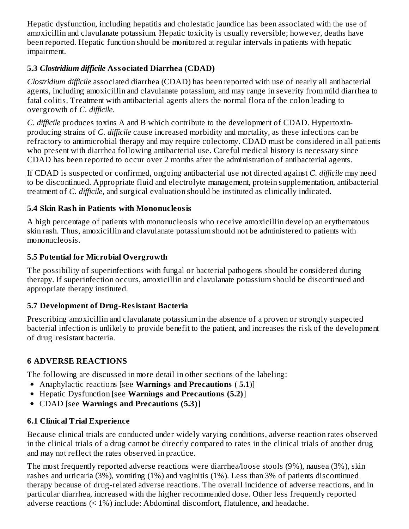Hepatic dysfunction, including hepatitis and cholestatic jaundice has been associated with the use of amoxicillin and clavulanate potassium. Hepatic toxicity is usually reversible; however, deaths have been reported. Hepatic function should be monitored at regular intervals in patients with hepatic impairment.

#### **5.3** *Clostridium difficile* **Associated Diarrhea (CDAD)**

*Clostridium difficile* associated diarrhea (CDAD) has been reported with use of nearly all antibacterial agents, including amoxicillin and clavulanate potassium, and may range in severity from mild diarrhea to fatal colitis. Treatment with antibacterial agents alters the normal flora of the colon leading to overgrowth of *C. difficile*.

*C. difficile* produces toxins A and B which contribute to the development of CDAD. Hypertoxinproducing strains of *C. difficile* cause increased morbidity and mortality, as these infections can be refractory to antimicrobial therapy and may require colectomy. CDAD must be considered in all patients who present with diarrhea following antibacterial use. Careful medical history is necessary since CDAD has been reported to occur over 2 months after the administration of antibacterial agents.

If CDAD is suspected or confirmed, ongoing antibacterial use not directed against *C. difficile* may need to be discontinued. Appropriate fluid and electrolyte management, protein supplementation, antibacterial treatment of *C. difficile*, and surgical evaluation should be instituted as clinically indicated.

#### **5.4 Skin Rash in Patients with Mononucleosis**

A high percentage of patients with mononucleosis who receive amoxicillin develop an erythematous skin rash. Thus, amoxicillin and clavulanate potassium should not be administered to patients with mononucleosis.

#### **5.5 Potential for Microbial Overgrowth**

The possibility of superinfections with fungal or bacterial pathogens should be considered during therapy. If superinfection occurs, amoxicillin and clavulanate potassium should be discontinued and appropriate therapy instituted.

#### **5.7 Development of Drug-Resistant Bacteria**

Prescribing amoxicillin and clavulanate potassium in the absence of a proven or strongly suspected bacterial infection is unlikely to provide benefit to the patient, and increases the risk of the development of drugllresistant bacteria.

## **6 ADVERSE REACTIONS**

The following are discussed in more detail in other sections of the labeling:

- Anaphylactic reactions [see **Warnings and Precautions** ( **5.1**)]
- Hepatic Dysfunction [see **Warnings and Precautions (5.2)**]
- CDAD [see **Warnings and Precautions (5.3)**]

## **6.1 Clinical Trial Experience**

Because clinical trials are conducted under widely varying conditions, adverse reaction rates observed in the clinical trials of a drug cannot be directly compared to rates in the clinical trials of another drug and may not reflect the rates observed in practice.

The most frequently reported adverse reactions were diarrhea/loose stools (9%), nausea (3%), skin rashes and urticaria (3%), vomiting (1%) and vaginitis (1%). Less than 3% of patients discontinued therapy because of drug-related adverse reactions. The overall incidence of adverse reactions, and in particular diarrhea, increased with the higher recommended dose. Other less frequently reported adverse reactions (< 1%) include: Abdominal discomfort, flatulence, and headache.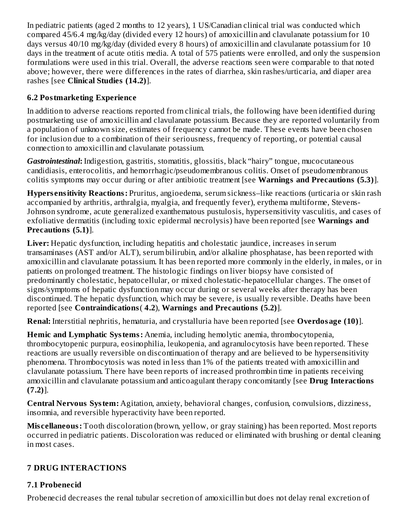In pediatric patients (aged 2 months to 12 years), 1 US/Canadian clinical trial was conducted which compared 45/6.4 mg/kg/day (divided every 12 hours) of amoxicillin and clavulanate potassium for 10 days versus 40/10 mg/kg/day (divided every 8 hours) of amoxicillin and clavulanate potassium for 10 days in the treatment of acute otitis media. A total of 575 patients were enrolled, and only the suspension formulations were used in this trial. Overall, the adverse reactions seen were comparable to that noted above; however, there were differences in the rates of diarrhea, skin rashes/urticaria, and diaper area rashes [see **Clinical Studies (14.2)**].

#### **6.2 Postmarketing Experience**

In addition to adverse reactions reported from clinical trials, the following have been identified during postmarketing use of amoxicillin and clavulanate potassium. Because they are reported voluntarily from a population of unknown size, estimates of frequency cannot be made. These events have been chosen for inclusion due to a combination of their seriousness, frequency of reporting, or potential causal connection to amoxicillin and clavulanate potassium.

*Gastrointestinal***:** Indigestion, gastritis, stomatitis, glossitis, black "hairy" tongue, mucocutaneous candidiasis, enterocolitis, and hemorrhagic/pseudomembranous colitis. Onset of pseudomembranous colitis symptoms may occur during or after antibiotic treatment [see **Warnings and Precautions (5.3)**].

**Hypers ensitivity Reactions:** Pruritus, angioedema, serum sickness–like reactions (urticaria or skin rash accompanied by arthritis, arthralgia, myalgia, and frequently fever), erythema multiforme, Stevens-Johnson syndrome, acute generalized exanthematous pustulosis, hypersensitivity vasculitis, and cases of exfoliative dermatitis (including toxic epidermal necrolysis) have been reported [see **Warnings and Precautions (5.1)**].

**Liver:** Hepatic dysfunction, including hepatitis and cholestatic jaundice, increases in serum transaminases (AST and/or ALT), serum bilirubin, and/or alkaline phosphatase, has been reported with amoxicillin and clavulanate potassium. It has been reported more commonly in the elderly, in males, or in patients on prolonged treatment. The histologic findings on liver biopsy have consisted of predominantly cholestatic, hepatocellular, or mixed cholestatic-hepatocellular changes. The onset of signs/symptoms of hepatic dysfunction may occur during or several weeks after therapy has been discontinued. The hepatic dysfunction, which may be severe, is usually reversible. Deaths have been reported [see **Contraindications**( **4.2**), **Warnings and Precautions (5.2)**].

**Renal:** Interstitial nephritis, hematuria, and crystalluria have been reported [see **Overdosage (10)**].

**Hemic and Lymphatic Systems:** Anemia, including hemolytic anemia, thrombocytopenia, thrombocytopenic purpura, eosinophilia, leukopenia, and agranulocytosis have been reported. These reactions are usually reversible on discontinuation of therapy and are believed to be hypersensitivity phenomena. Thrombocytosis was noted in less than 1% of the patients treated with amoxicillin and clavulanate potassium. There have been reports of increased prothrombin time in patients receiving amoxicillin and clavulanate potassium and anticoagulant therapy concomitantly [see **Drug Interactions (7.2)**].

**Central Nervous System:** Agitation, anxiety, behavioral changes, confusion, convulsions, dizziness, insomnia, and reversible hyperactivity have been reported.

**Mis cellaneous:** Tooth discoloration (brown, yellow, or gray staining) has been reported. Most reports occurred in pediatric patients. Discoloration was reduced or eliminated with brushing or dental cleaning in most cases.

## **7 DRUG INTERACTIONS**

## **7.1 Probenecid**

Probenecid decreases the renal tubular secretion of amoxicillin but does not delay renal excretion of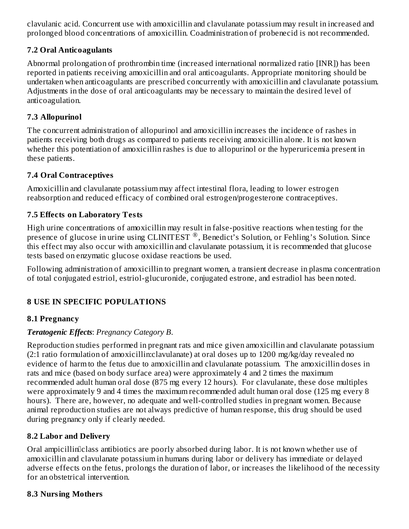clavulanic acid. Concurrent use with amoxicillin and clavulanate potassium may result in increased and prolonged blood concentrations of amoxicillin. Coadministration of probenecid is not recommended.

#### **7.2 Oral Anticoagulants**

Abnormal prolongation of prothrombin time (increased international normalized ratio [INR]) has been reported in patients receiving amoxicillin and oral anticoagulants. Appropriate monitoring should be undertaken when anticoagulants are prescribed concurrently with amoxicillin and clavulanate potassium. Adjustments in the dose of oral anticoagulants may be necessary to maintain the desired level of anticoagulation.

#### **7.3 Allopurinol**

The concurrent administration of allopurinol and amoxicillin increases the incidence of rashes in patients receiving both drugs as compared to patients receiving amoxicillin alone. It is not known whether this potentiation of amoxicillin rashes is due to allopurinol or the hyperuricemia present in these patients.

#### **7.4 Oral Contraceptives**

Amoxicillin and clavulanate potassium may affect intestinal flora, leading to lower estrogen reabsorption and reduced efficacy of combined oral estrogen/progesterone contraceptives.

#### **7.5 Effects on Laboratory Tests**

High urine concentrations of amoxicillin may result in false-positive reactions when testing for the presence of glucose in urine using CLINITEST  $^{\circledR}$ , Benedict's Solution, or Fehling's Solution. Since this effect may also occur with amoxicillin and clavulanate potassium, it is recommended that glucose tests based on enzymatic glucose oxidase reactions be used.

Following administration of amoxicillin to pregnant women, a transient decrease in plasma concentration of total conjugated estriol, estriol-glucuronide, conjugated estrone, and estradiol has been noted.

## **8 USE IN SPECIFIC POPULATIONS**

#### **8.1 Pregnancy**

#### *Teratogenic Effects*: *Pregnancy Category B*.

Reproduction studies performed in pregnant rats and mice given amoxicillin and clavulanate potassium (2:1 ratio formulation of amoxicillin:clavulanate) at oral doses up to 1200 mg/kg/day revealed no evidence of harm to the fetus due to amoxicillin and clavulanate potassium. The amoxicillin doses in rats and mice (based on body surface area) were approximately 4 and 2 times the maximum recommended adult human oral dose (875 mg every 12 hours). For clavulanate, these dose multiples were approximately 9 and 4 times the maximum recommended adult human oral dose (125 mg every 8 hours). There are, however, no adequate and well-controlled studies in pregnant women. Because animal reproduction studies are not always predictive of human response, this drug should be used during pregnancy only if clearly needed.

#### **8.2 Labor and Delivery**

Oral ampicillin<sup>c</sup>lass antibiotics are poorly absorbed during labor. It is not known whether use of amoxicillin and clavulanate potassium in humans during labor or delivery has immediate or delayed adverse effects on the fetus, prolongs the duration of labor, or increases the likelihood of the necessity for an obstetrical intervention.

#### **8.3 Nursing Mothers**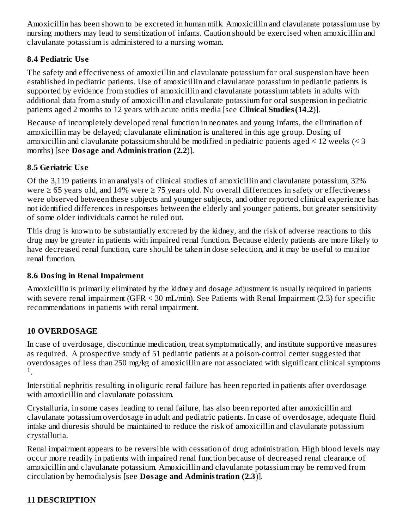Amoxicillin has been shown to be excreted in human milk. Amoxicillin and clavulanate potassium use by nursing mothers may lead to sensitization of infants. Caution should be exercised when amoxicillin and clavulanate potassium is administered to a nursing woman.

#### **8.4 Pediatric Us e**

The safety and effectiveness of amoxicillin and clavulanate potassium for oral suspension have been established in pediatric patients. Use of amoxicillin and clavulanate potassium in pediatric patients is supported by evidence from studies of amoxicillin and clavulanate potassium tablets in adults with additional data from a study of amoxicillin and clavulanate potassium for oral suspension in pediatric patients aged 2 months to 12 years with acute otitis media [see **Clinical Studies(14.2**)].

Because of incompletely developed renal function in neonates and young infants, the elimination of amoxicillin may be delayed; clavulanate elimination is unaltered in this age group. Dosing of amoxicillin and clavulanate potassium should be modified in pediatric patients aged < 12 weeks (< 3 months) [see **Dosage and Administration (2.2**)].

#### **8.5 Geriatric Us e**

Of the 3,119 patients in an analysis of clinical studies of amoxicillin and clavulanate potassium, 32% were  $\geq$  65 years old, and 14% were  $\geq$  75 years old. No overall differences in safety or effectiveness were observed between these subjects and younger subjects, and other reported clinical experience has not identified differences in responses between the elderly and younger patients, but greater sensitivity of some older individuals cannot be ruled out.

This drug is known to be substantially excreted by the kidney, and the risk of adverse reactions to this drug may be greater in patients with impaired renal function. Because elderly patients are more likely to have decreased renal function, care should be taken in dose selection, and it may be useful to monitor renal function.

#### **8.6 Dosing in Renal Impairment**

Amoxicillin is primarily eliminated by the kidney and dosage adjustment is usually required in patients with severe renal impairment (GFR < 30 mL/min). See Patients with Renal Impairment (2.3) for specific recommendations in patients with renal impairment.

## **10 OVERDOSAGE**

In case of overdosage, discontinue medication, treat symptomatically, and institute supportive measures as required. A prospective study of 51 pediatric patients at a poison-control center suggested that overdosages of less than 250 mg/kg of amoxicillin are not associated with significant clinical symptoms . 1

Interstitial nephritis resulting in oliguric renal failure has been reported in patients after overdosage with amoxicillin and clavulanate potassium.

Crystalluria, in some cases leading to renal failure, has also been reported after amoxicillin and clavulanate potassium overdosage in adult and pediatric patients. In case of overdosage, adequate fluid intake and diuresis should be maintained to reduce the risk of amoxicillin and clavulanate potassium crystalluria.

Renal impairment appears to be reversible with cessation of drug administration. High blood levels may occur more readily in patients with impaired renal function because of decreased renal clearance of amoxicillin and clavulanate potassium. Amoxicillin and clavulanate potassium may be removed from circulation by hemodialysis [see **Dosage and Administration (2.3**)].

## **11 DESCRIPTION**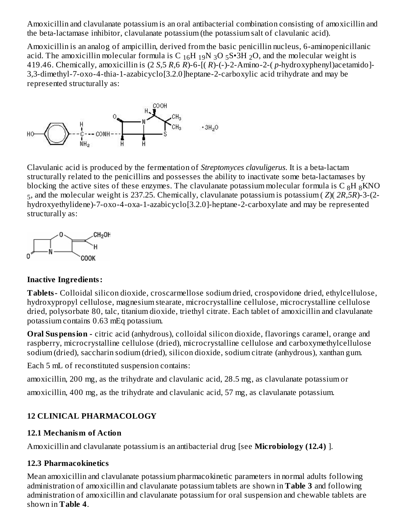Amoxicillin and clavulanate potassium is an oral antibacterial combination consisting of amoxicillin and the beta-lactamase inhibitor, clavulanate potassium (the potassium salt of clavulanic acid).

Amoxicillin is an analog of ampicillin, derived from the basic penicillin nucleus, 6-aminopenicillanic acid. The amoxicillin molecular formula is C  $_{16}$ H  $_{19}$ N  $_{3}$ O  $_{5}$ S•3H  $_{2}$ O, and the molecular weight is 419.46. Chemically, amoxicillin is (2 *S,*5 *R,*6 *R*)-6-[( *R*)-(-)-2-Amino-2-( *p-*hydroxyphenyl)acetamido]- 3,3-dimethyl-7-oxo-4-thia-1-azabicyclo[3.2.0]heptane-2-carboxylic acid trihydrate and may be represented structurally as:



Clavulanic acid is produced by the fermentation of *Streptomyces clavuligerus*. It is a beta-lactam structurally related to the penicillins and possesses the ability to inactivate some beta-lactamases by blocking the active sites of these enzymes. The clavulanate potassium molecular formula is C  $_8\mathrm{H}$   $_8\mathrm{KNO}$ , and the molecular weight is 237.25. Chemically, clavulanate potassium is potassium ( *Z*)( *2R,5R*)-3-(2- 5hydroxyethylidene)-7-oxo-4-oxa-1-azabicyclo[3.2.0]-heptane-2-carboxylate and may be represented structurally as:



#### **Inactive Ingredients:**

**Tablets-** Colloidal silicon dioxide, croscarmellose sodium dried, crospovidone dried, ethylcellulose, hydroxypropyl cellulose, magnesium stearate, microcrystalline cellulose, microcrystalline cellulose dried, polysorbate 80, talc, titanium dioxide, triethyl citrate. Each tablet of amoxicillin and clavulanate potassium contains 0.63 mEq potassium.

**Oral Suspension -** citric acid (anhydrous), colloidal silicon dioxide, flavorings caramel, orange and raspberry, microcrystalline cellulose (dried), microcrystalline cellulose and carboxymethylcellulose sodium (dried), saccharin sodium (dried), silicon dioxide, sodium citrate (anhydrous), xanthan gum.

Each 5 mL of reconstituted suspension contains:

amoxicillin, 200 mg, as the trihydrate and clavulanic acid, 28.5 mg, as clavulanate potassium or

amoxicillin, 400 mg, as the trihydrate and clavulanic acid, 57 mg, as clavulanate potassium.

#### **12 CLINICAL PHARMACOLOGY**

#### **12.1 Mechanism of Action**

Amoxicillin and clavulanate potassium is an antibacterial drug [see **Microbiology (12.4)** ].

#### **12.3 Pharmacokinetics**

Mean amoxicillin and clavulanate potassium pharmacokinetic parameters in normal adults following administration of amoxicillin and clavulanate potassium tablets are shown in **Table 3** and following administration of amoxicillin and clavulanate potassium for oral suspension and chewable tablets are shown in **Table 4**.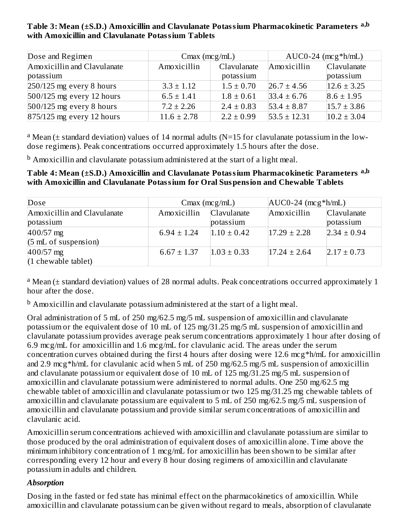#### **Table 3: Mean (±S.D.) Amoxicillin and Clavulanate Potassium Pharmacokinetic Parameters a,b with Amoxicillin and Clavulanate Potassium Tablets**

| Dose and Regimen            | $C$ max (mcg/mL) |                | $AUCO-24$ (mcg*h/mL) |                 |
|-----------------------------|------------------|----------------|----------------------|-----------------|
| Amoxicillin and Clavulanate | Amoxicillin      | Clavulanate    | Amoxicillin          | Clavulanate     |
| potassium                   |                  | potassium      |                      | potassium       |
| $250/125$ mg every 8 hours  | $3.3 \pm 1.12$   | $1.5 \pm 0.70$ | $26.7 \pm 4.56$      | $12.6 \pm 3.25$ |
| 500/125 mg every 12 hours   | $6.5 \pm 1.41$   | $1.8 \pm 0.61$ | $33.4 \pm 6.76$      | $8.6 \pm 1.95$  |
| $500/125$ mg every 8 hours  | $7.2 \pm 2.26$   | $2.4 \pm 0.83$ | $53.4 \pm 8.87$      | $15.7 \pm 3.86$ |
| $875/125$ mg every 12 hours | $11.6 \pm 2.78$  | $2.2 \pm 0.99$ | $53.5 \pm 12.31$     | $10.2 \pm 3.04$ |

<sup>a</sup> Mean ( $\pm$  standard deviation) values of 14 normal adults (N=15 for clavulanate potassium in the lowdose regimens). Peak concentrations occurred approximately 1.5 hours after the dose.

 $^{\rm b}$  Amoxicillin and clavulanate potassium administered at the start of a light meal.

#### **Table 4: Mean (±S.D.) Amoxicillin and Clavulanate Potassium Pharmacokinetic Parameters a,b with Amoxicillin and Clavulanate Potassium for Oral Suspension and Chewable Tablets**

| Dose                        |                                   | $C$ max (mcg/mL) | $AUCO-24$ (mcg*h/mL) |                    |  |
|-----------------------------|-----------------------------------|------------------|----------------------|--------------------|--|
| Amoxicillin and Clavulanate | Amoxicillin<br><b>Clavulanate</b> |                  | Amoxicillin          | <b>Clavulanate</b> |  |
| potassium                   |                                   | potassium        |                      | potassium          |  |
| $400/57$ mg                 | $6.94 \pm 1.24$                   | $1.10 \pm 0.42$  | $17.29 \pm 2.28$     | $2.34 \pm 0.94$    |  |
| (5 mL of suspension)        |                                   |                  |                      |                    |  |
| $ 400/57 \text{ mg} $       | $6.67 \pm 1.37$                   | $1.03 \pm 0.33$  | $17.24 \pm 2.64$     | $2.17 \pm 0.73$    |  |
| $(1$ chewable tablet)       |                                   |                  |                      |                    |  |

<sup>a</sup> Mean (± standard deviation) values of 28 normal adults. Peak concentrations occurred approximately 1 hour after the dose.

 $^{\rm b}$  Amoxicillin and clavulanate potassium administered at the start of a light meal.

Oral administration of 5 mL of 250 mg/62.5 mg/5 mL suspension of amoxicillin and clavulanate potassium or the equivalent dose of 10 mL of 125 mg/31.25 mg/5 mL suspension of amoxicillin and clavulanate potassium provides average peak serum concentrations approximately 1 hour after dosing of 6.9 mcg/mL for amoxicillin and 1.6 mcg/mL for clavulanic acid. The areas under the serum concentration curves obtained during the first 4 hours after dosing were 12.6 mcg\*h/mL for amoxicillin and 2.9 mcg\*h/mL for clavulanic acid when 5 mL of 250 mg/62.5 mg/5 mL suspension of amoxicillin and clavulanate potassium or equivalent dose of 10 mL of 125 mg/31.25 mg/5 mL suspension of amoxicillin and clavulanate potassium were administered to normal adults. One 250 mg/62.5 mg chewable tablet of amoxicillin and clavulanate potassium or two 125 mg/31.25 mg chewable tablets of amoxicillin and clavulanate potassium are equivalent to 5 mL of 250 mg/62.5 mg/5 mL suspension of amoxicillin and clavulanate potassium and provide similar serum concentrations of amoxicillin and clavulanic acid.

Amoxicillin serum concentrations achieved with amoxicillin and clavulanate potassium are similar to those produced by the oral administration of equivalent doses of amoxicillin alone. Time above the minimum inhibitory concentration of 1 mcg/mL for amoxicillin has been shown to be similar after corresponding every 12 hour and every 8 hour dosing regimens of amoxicillin and clavulanate potassium in adults and children.

#### *Absorption*

Dosing in the fasted or fed state has minimal effect on the pharmacokinetics of amoxicillin. While amoxicillin and clavulanate potassium can be given without regard to meals, absorption of clavulanate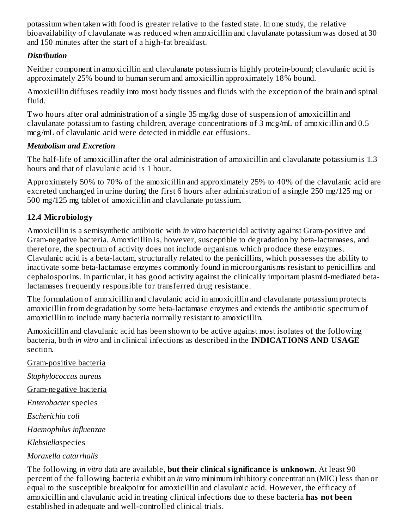potassium when taken with food is greater relative to the fasted state. In one study, the relative bioavailability of clavulanate was reduced when amoxicillin and clavulanate potassium was dosed at 30 and 150 minutes after the start of a high-fat breakfast.

#### *Distribution*

Neither component in amoxicillin and clavulanate potassium is highly protein-bound; clavulanic acid is approximately 25% bound to human serum and amoxicillin approximately 18% bound.

Amoxicillin diffuses readily into most body tissues and fluids with the exception of the brain and spinal fluid.

Two hours after oral administration of a single 35 mg/kg dose of suspension of amoxicillin and clavulanate potassium to fasting children, average concentrations of 3 mcg/mL of amoxicillin and 0.5 mcg/mL of clavulanic acid were detected in middle ear effusions.

#### *Metabolism and Excretion*

The half-life of amoxicillin after the oral administration of amoxicillin and clavulanate potassium is 1.3 hours and that of clavulanic acid is 1 hour.

Approximately 50% to 70% of the amoxicillin and approximately 25% to 40% of the clavulanic acid are excreted unchanged in urine during the first 6 hours after administration of a single 250 mg/125 mg or 500 mg/125 mg tablet of amoxicillin and clavulanate potassium.

#### **12.4 Microbiology**

Amoxicillin is a semisynthetic antibiotic with *in vitro* bactericidal activity against Gram-positive and Gram-negative bacteria. Amoxicillin is, however, susceptible to degradation by beta-lactamases, and therefore, the spectrum of activity does not include organisms which produce these enzymes. Clavulanic acid is a beta-lactam, structurally related to the penicillins, which possesses the ability to inactivate some beta-lactamase enzymes commonly found in microorganisms resistant to penicillins and cephalosporins. In particular, it has good activity against the clinically important plasmid-mediated betalactamases frequently responsible for transferred drug resistance.

The formulation of amoxicillin and clavulanic acid in amoxicillin and clavulanate potassium protects amoxicillin from degradation by some beta-lactamase enzymes and extends the antibiotic spectrum of amoxicillin to include many bacteria normally resistant to amoxicillin.

Amoxicillin and clavulanic acid has been shown to be active against most isolates of the following bacteria, both *in vitro* and in clinical infections as described in the **INDICATIONS AND USAGE** section.

Gram-positive bacteria *Staphylococcus aureus* Gram-negative bacteria *Enterobacter* species *Escherichia coli Haemophilus influenzae Klebsiella*species *Moraxella catarrhalis*

The following *in vitro* data are available, **but their clinical significance is unknown**. At least 90 percent of the following bacteria exhibit an *in vitro* minimum inhibitory concentration (MIC) less than or equal to the susceptible breakpoint for amoxicillin and clavulanic acid. However, the efficacy of amoxicillin and clavulanic acid in treating clinical infections due to these bacteria **has not been** established in adequate and well-controlled clinical trials.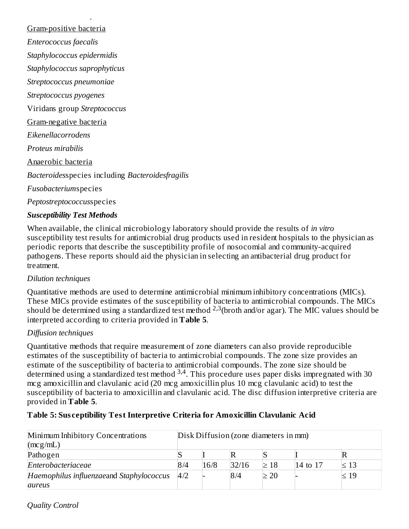established in adequate and well-controlled clinical trials. Gram-positive bacteria *Enterococcus faecalis Staphylococcus epidermidis Staphylococcus saprophyticus Streptococcus pneumoniae Streptococcus pyogenes* Viridans group *Streptococcus* Gram-negative bacteria *Eikenellacorrodens Proteus mirabilis* Anaerobic bacteria *Bacteroides*species including *Bacteroidesfragilis Fusobacterium*species *Peptostreptococcus*species

#### *Susceptibility Test Methods*

When available, the clinical microbiology laboratory should provide the results of *in vitro* susceptibility test results for antimicrobial drug products used in resident hospitals to the physician as periodic reports that describe the susceptibility profile of nosocomial and community-acquired pathogens. These reports should aid the physician in selecting an antibacterial drug product for treatment.

#### *Dilution techniques*

Quantitative methods are used to determine antimicrobial minimum inhibitory concentrations (MICs). These MICs provide estimates of the susceptibility of bacteria to antimicrobial compounds. The MICs should be determined using a standardized test method <sup>2,3</sup> (broth and/or agar). The MIC values should be interpreted according to criteria provided in **Table 5**.

#### *Diffusion techniques*

Quantitative methods that require measurement of zone diameters can also provide reproducible estimates of the susceptibility of bacteria to antimicrobial compounds. The zone size provides an estimate of the susceptibility of bacteria to antimicrobial compounds. The zone size should be determined using a standardized test method  $3,4$ . This procedure uses paper disks impregnated with 30 mcg amoxicillin and clavulanic acid (20 mcg amoxicillin plus 10 mcg clavulanic acid) to test the susceptibility of bacteria to amoxicillin and clavulanic acid. The disc diffusion interpretive criteria are provided in **Table 5**.

#### **Table 5: Sus ceptibility Test Interpretive Criteria for Amoxicillin Clavulanic Acid**

| Minimum Inhibitory Concentrations<br>$\left(\frac{mcg}{mL}\right)$ | Disk Diffusion (zone diameters in mm) |      |       |           |          |           |
|--------------------------------------------------------------------|---------------------------------------|------|-------|-----------|----------|-----------|
| Pathogen                                                           |                                       |      |       |           |          |           |
| Enterobacteriaceae                                                 | 8/4                                   | 16/8 | 32/16 | $\geq 18$ | 14 to 17 | $\leq 13$ |
| Haemophilus influenzaeand Staphylococcus                           | 4/2                                   |      | 8/4   | $\geq 20$ |          | $\leq 19$ |
| aureus                                                             |                                       |      |       |           |          |           |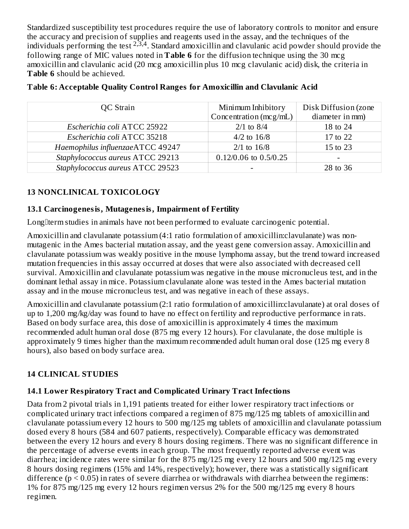Standardized susceptibility test procedures require the use of laboratory controls to monitor and ensure the accuracy and precision of supplies and reagents used in the assay, and the techniques of the individuals performing the test  $2,3,4$ . Standard amoxicillin and clavulanic acid powder should provide the following range of MIC values noted in **Table 6** for the diffusion technique using the 30 mcg amoxicillin and clavulanic acid (20 mcg amoxicillin plus 10 mcg clavulanic acid) disk, the criteria in **Table 6** should be achieved.

| QC Strain                        | Minimum Inhibitory     | Disk Diffusion (zone |
|----------------------------------|------------------------|----------------------|
|                                  | Concentration (mcg/mL) | diameter in mm)      |
| Escherichia coli ATCC 25922      | $2/1$ to 8/4           | 18 to 24             |
| Escherichia coli ATCC 35218      | $4/2$ to $16/8$        | 17 to 22             |
| Haemophilus influenzaeATCC 49247 | $2/1$ to $16/8$        | 15 to 23             |
| Staphylococcus aureus ATCC 29213 | 0.12/0.06 to 0.5/0.25  |                      |
| Staphylococcus aureus ATCC 29523 |                        | 28 to 36             |

|  |  | Table 6: Acceptable Quality Control Ranges for Amoxicillin and Clavulanic Acid |
|--|--|--------------------------------------------------------------------------------|
|  |  |                                                                                |

#### **13 NONCLINICAL TOXICOLOGY**

#### **13.1 Carcinogenesis, Mutagenesis, Impairment of Fertility**

Longliterm studies in animals have not been performed to evaluate carcinogenic potential.

Amoxicillin and clavulanate potassium (4:1 ratio formulation of amoxicillin:clavulanate) was nonmutagenic in the Ames bacterial mutation assay, and the yeast gene conversion assay. Amoxicillin and clavulanate potassium was weakly positive in the mouse lymphoma assay, but the trend toward increased mutation frequencies in this assay occurred at doses that were also associated with decreased cell survival. Amoxicillin and clavulanate potassium was negative in the mouse micronucleus test, and in the dominant lethal assay in mice. Potassium clavulanate alone was tested in the Ames bacterial mutation assay and in the mouse micronucleus test, and was negative in each of these assays.

Amoxicillin and clavulanate potassium (2:1 ratio formulation of amoxicillin:clavulanate) at oral doses of up to 1,200 mg/kg/day was found to have no effect on fertility and reproductive performance in rats. Based on body surface area, this dose of amoxicillin is approximately 4 times the maximum recommended adult human oral dose (875 mg every 12 hours). For clavulanate, the dose multiple is approximately 9 times higher than the maximum recommended adult human oral dose (125 mg every 8 hours), also based on body surface area.

## **14 CLINICAL STUDIES**

#### **14.1 Lower Respiratory Tract and Complicated Urinary Tract Infections**

Data from 2 pivotal trials in 1,191 patients treated for either lower respiratory tract infections or complicated urinary tract infections compared a regimen of 875 mg/125 mg tablets of amoxicillin and clavulanate potassium every 12 hours to 500 mg/125 mg tablets of amoxicillin and clavulanate potassium dosed every 8 hours (584 and 607 patients, respectively). Comparable efficacy was demonstrated between the every 12 hours and every 8 hours dosing regimens. There was no significant difference in the percentage of adverse events in each group. The most frequently reported adverse event was diarrhea; incidence rates were similar for the 875 mg/125 mg every 12 hours and 500 mg/125 mg every 8 hours dosing regimens (15% and 14%, respectively); however, there was a statistically significant difference ( $p < 0.05$ ) in rates of severe diarrhea or withdrawals with diarrhea between the regimens: 1% for 875 mg/125 mg every 12 hours regimen versus 2% for the 500 mg/125 mg every 8 hours regimen.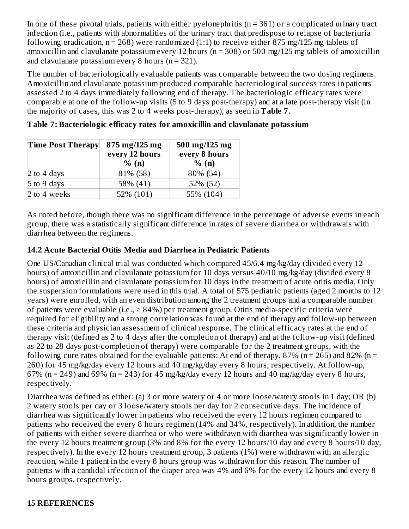In one of these pivotal trials, patients with either pyelonephritis ( $n = 361$ ) or a complicated urinary tract infection (i.e., patients with abnormalities of the urinary tract that predispose to relapse of bacteriuria following eradication,  $n = 268$ ) were randomized (1:1) to receive either 875 mg/125 mg tablets of amoxicillin and clavulanate potassium every 12 hours ( $n = 308$ ) or 500 mg/125 mg tablets of amoxicillin and clavulanate potassium every 8 hours  $(n = 321)$ .

The number of bacteriologically evaluable patients was comparable between the two dosing regimens. Amoxicillin and clavulanate potassium produced comparable bacteriological success rates in patients assessed 2 to 4 days immediately following end of therapy. The bacteriologic efficacy rates were comparable at one of the follow-up visits (5 to 9 days post-therapy) and at a late post-therapy visit (in the majority of cases, this was 2 to 4 weeks post-therapy), as seen in **Table 7**.

| <b>Time Post Therapy</b> | $875 \,\mathrm{mg}/125 \,\mathrm{mg}$<br>every 12 hours<br>% (n) | 500 mg/125 mg<br>every 8 hours<br>% (n) |
|--------------------------|------------------------------------------------------------------|-----------------------------------------|
| 2 to 4 days              | 81% (58)                                                         | 80% (54)                                |
| $5$ to 9 days            | 58% (41)                                                         | 52% (52)                                |
| 2 to 4 weeks             | 52% (101)                                                        | 55% (104)                               |

**Table 7: Bacteriologic efficacy rates for amoxicillin and clavulanate potassium**

As noted before, though there was no significant difference in the percentage of adverse events in each group, there was a statistically significant difference in rates of severe diarrhea or withdrawals with diarrhea between the regimens.

#### **14.2 Acute Bacterial Otitis Media and Diarrhea in Pediatric Patients**

One US/Canadian clinical trial was conducted which compared 45/6.4 mg/kg/day (divided every 12 hours) of amoxicillin and clavulanate potassium for 10 days versus 40/10 mg/kg/day (divided every 8 hours) of amoxicillin and clavulanate potassium for 10 days in the treatment of acute otitis media. Only the suspension formulations were used in this trial. A total of 575 pediatric patients (aged 2 months to 12 years) were enrolled, with an even distribution among the 2 treatment groups and a comparable number of patients were evaluable (i.e.,  $\geq 84\%$ ) per treatment group. Otitis media-specific criteria were required for eligibility and a strong correlation was found at the end of therapy and follow-up between these criteria and physician assessment of clinical response. The clinical efficacy rates at the end of therapy visit (defined as 2 to 4 days after the completion of therapy) and at the follow-up visit (defined as 22 to 28 days post-completion of therapy) were comparable for the 2 treatment groups, with the following cure rates obtained for the evaluable patients: At end of therapy, 87% ( $n = 265$ ) and 82% ( $n =$ 260) for 45 mg/kg/day every 12 hours and 40 mg/kg/day every 8 hours, respectively. At follow-up, 67% (n = 249) and 69% (n = 243) for 45 mg/kg/day every 12 hours and 40 mg/kg/day every 8 hours, respectively.

Diarrhea was defined as either: (a) 3 or more watery or 4 or more loose/watery stools in 1 day; OR (b) 2 watery stools per day or 3 loose/watery stools per day for 2 consecutive days. The incidence of diarrhea was significantly lower in patients who received the every 12 hours regimen compared to patients who received the every 8 hours regimen (14% and 34%, respectively). In addition, the number of patients with either severe diarrhea or who were withdrawn with diarrhea was significantly lower in the every 12 hours treatment group (3% and 8% for the every 12 hours/10 day and every 8 hours/10 day, respectively). In the every 12 hours treatment group, 3 patients (1%) were withdrawn with an allergic reaction, while 1 patient in the every 8 hours group was withdrawn for this reason. The number of patients with a candidal infection of the diaper area was 4% and 6% for the every 12 hours and every 8 hours groups, respectively.

#### **15 REFERENCES**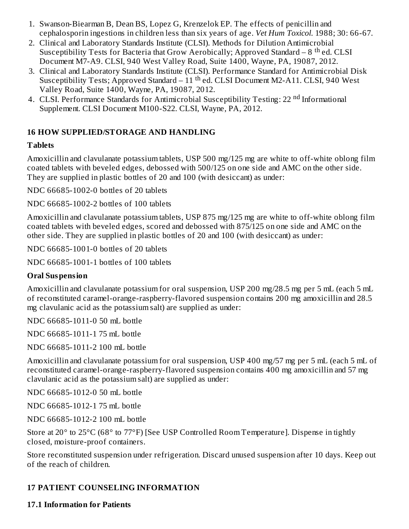- 1. Swanson-Biearman B, Dean BS, Lopez G, Krenzelok EP. The effects of penicillin and cephalosporin ingestions in children less than six years of age. *Vet Hum Toxicol*. 1988; 30: 66-67.
- 2. Clinical and Laboratory Standards Institute (CLSI). Methods for Dilution Antimicrobial Susceptibility Tests for Bacteria that Grow Aerobically; Approved Standard  $-8$  <sup>th</sup> ed. CLSI Document M7-A9. CLSI, 940 West Valley Road, Suite 1400, Wayne, PA, 19087, 2012.
- 3. Clinical and Laboratory Standards Institute (CLSI). Performance Standard for Antimicrobial Disk Susceptibility Tests; Approved Standard –  $11$  <sup>th</sup> ed. CLSI Document M2-A11. CLSI, 940 West Valley Road, Suite 1400, Wayne, PA, 19087, 2012.
- 4. CLSI. Performance Standards for Antimicrobial Susceptibility Testing: 22 <sup>nd</sup> Informational Supplement. CLSI Document M100-S22. CLSI, Wayne, PA, 2012.

## **16 HOW SUPPLIED/STORAGE AND HANDLING**

## **Tablets**

Amoxicillin and clavulanate potassium tablets, USP 500 mg/125 mg are white to off-white oblong film coated tablets with beveled edges, debossed with 500/125 on one side and AMC on the other side. They are supplied in plastic bottles of 20 and 100 (with desiccant) as under:

NDC 66685-1002-0 bottles of 20 tablets

NDC 66685-1002-2 bottles of 100 tablets

Amoxicillin and clavulanate potassium tablets, USP 875 mg/125 mg are white to off-white oblong film coated tablets with beveled edges, scored and debossed with 875/125 on one side and AMC on the other side. They are supplied in plastic bottles of 20 and 100 (with desiccant) as under:

NDC 66685-1001-0 bottles of 20 tablets

NDC 66685-1001-1 bottles of 100 tablets

## **Oral Suspension**

Amoxicillin and clavulanate potassium for oral suspension, USP 200 mg/28.5 mg per 5 mL (each 5 mL of reconstituted caramel-orange-raspberry-flavored suspension contains 200 mg amoxicillin and 28.5 mg clavulanic acid as the potassium salt) are supplied as under:

NDC 66685-1011-0 50 mL bottle

NDC 66685-1011-1 75 mL bottle

NDC 66685-1011-2 100 mL bottle

Amoxicillin and clavulanate potassium for oral suspension, USP 400 mg/57 mg per 5 mL (each 5 mL of reconstituted caramel-orange-raspberry-flavored suspension contains 400 mg amoxicillin and 57 mg clavulanic acid as the potassium salt) are supplied as under:

NDC 66685-1012-0 50 mL bottle

NDC 66685-1012-1 75 mL bottle

NDC 66685-1012-2 100 mL bottle

Store at 20° to 25°C (68° to 77°F) [See USP Controlled Room Temperature]. Dispense in tightly closed, moisture-proof containers.

Store reconstituted suspension under refrigeration. Discard unused suspension after 10 days. Keep out of the reach of children.

# **17 PATIENT COUNSELING INFORMATION**

## **17.1 Information for Patients**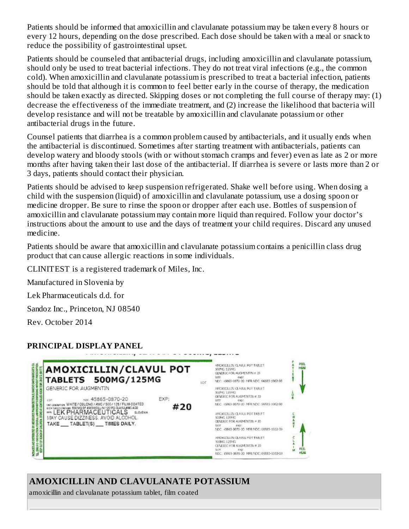Patients should be informed that amoxicillin and clavulanate potassium may be taken every 8 hours or every 12 hours, depending on the dose prescribed. Each dose should be taken with a meal or snack to reduce the possibility of gastrointestinal upset.

Patients should be counseled that antibacterial drugs, including amoxicillin and clavulanate potassium, should only be used to treat bacterial infections. They do not treat viral infections (e.g., the common cold). When amoxicillin and clavulanate potassium is prescribed to treat a bacterial infection, patients should be told that although it is common to feel better early in the course of therapy, the medication should be taken exactly as directed. Skipping doses or not completing the full course of therapy may: (1) decrease the effectiveness of the immediate treatment, and (2) increase the likelihood that bacteria will develop resistance and will not be treatable by amoxicillin and clavulanate potassium or other antibacterial drugs in the future.

Counsel patients that diarrhea is a common problem caused by antibacterials, and it usually ends when the antibacterial is discontinued. Sometimes after starting treatment with antibacterials, patients can develop watery and bloody stools (with or without stomach cramps and fever) even as late as 2 or more months after having taken their last dose of the antibacterial. If diarrhea is severe or lasts more than 2 or 3 days, patients should contact their physician.

Patients should be advised to keep suspension refrigerated. Shake well before using. When dosing a child with the suspension (liquid) of amoxicillin and clavulanate potassium, use a dosing spoon or medicine dropper. Be sure to rinse the spoon or dropper after each use. Bottles of suspension of amoxicillin and clavulanate potassium may contain more liquid than required. Follow your doctor's instructions about the amount to use and the days of treatment your child requires. Discard any unused medicine.

Patients should be aware that amoxicillin and clavulanate potassium contains a penicillin class drug product that can cause allergic reactions in some individuals.

CLINITEST is a registered trademark of Miles, Inc.

Manufactured in Slovenia by

Lek Pharmaceuticals d.d. for

Sandoz Inc., Princeton, NJ 08540

Rev. October 2014

#### **PRINCIPAL DISPLAY PANEL**



## **AMOXICILLIN AND CLAVULANATE POTASSIUM**

amoxicillin and clavulanate potassium tablet, film coated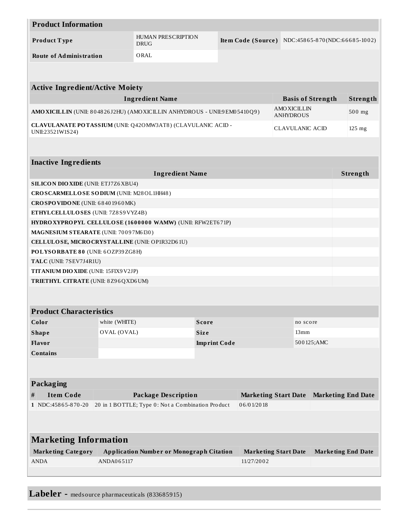| <b>Product Information</b>                                                       |                                                                 |                                                 |                     |  |                             |                                        |          |                          |                                                  |
|----------------------------------------------------------------------------------|-----------------------------------------------------------------|-------------------------------------------------|---------------------|--|-----------------------------|----------------------------------------|----------|--------------------------|--------------------------------------------------|
| Product Type                                                                     |                                                                 | HUMAN PRESCRIPTION<br><b>DRUG</b>               |                     |  |                             |                                        |          |                          | Item Code (Source) NDC:45865-870(NDC:66685-1002) |
| <b>Route of Administration</b>                                                   |                                                                 | ORAL                                            |                     |  |                             |                                        |          |                          |                                                  |
|                                                                                  |                                                                 |                                                 |                     |  |                             |                                        |          |                          |                                                  |
|                                                                                  |                                                                 |                                                 |                     |  |                             |                                        |          |                          |                                                  |
| <b>Active Ingredient/Active Moiety</b>                                           |                                                                 |                                                 |                     |  |                             |                                        |          |                          |                                                  |
|                                                                                  |                                                                 | <b>Ingredient Name</b>                          |                     |  |                             |                                        |          | <b>Basis of Strength</b> | Strength                                         |
| AMO XICILLIN (UNII: 804826J2HU) (AMO XICILLIN ANHYDROUS - UNII:9EM05410Q9)       |                                                                 |                                                 |                     |  |                             | <b>AMOXICILLIN</b><br><b>ANHYDROUS</b> |          |                          | 500 mg                                           |
| CLAVULANATE POTASSIUM (UNII: Q420 MW3AT8) (CLAVULANIC ACID -<br>UNII:23521W1S24) |                                                                 |                                                 |                     |  |                             | <b>CLAVULANIC ACID</b>                 |          |                          | $125$ mg                                         |
|                                                                                  |                                                                 |                                                 |                     |  |                             |                                        |          |                          |                                                  |
| <b>Inactive Ingredients</b>                                                      |                                                                 |                                                 |                     |  |                             |                                        |          |                          |                                                  |
|                                                                                  |                                                                 | <b>Ingredient Name</b>                          |                     |  |                             |                                        |          |                          | Strength                                         |
| <b>SILICON DIO XIDE (UNII: ETJ7Z6 XBU4)</b>                                      |                                                                 |                                                 |                     |  |                             |                                        |          |                          |                                                  |
| CROSCARMELLOSE SODIUM (UNII: M28OL1HH48)                                         |                                                                 |                                                 |                     |  |                             |                                        |          |                          |                                                  |
| CROSPOVIDONE (UNII: 68401960MK)                                                  |                                                                 |                                                 |                     |  |                             |                                        |          |                          |                                                  |
| ETHYLCELLULOSES (UNII: 7Z8S9VYZ4B)                                               |                                                                 |                                                 |                     |  |                             |                                        |          |                          |                                                  |
| HYDRO XYPROPYL CELLULOSE (1600000 WAMW) (UNII: RFW2ET671P)                       |                                                                 |                                                 |                     |  |                             |                                        |          |                          |                                                  |
| MAGNESIUM STEARATE (UNII: 70097M6I30)                                            |                                                                 |                                                 |                     |  |                             |                                        |          |                          |                                                  |
| CELLULOSE, MICRO CRYSTALLINE (UNII: OP1R32D61U)                                  |                                                                 |                                                 |                     |  |                             |                                        |          |                          |                                                  |
| POLYSORBATE 80 (UNII: 6OZP39ZG8H)                                                |                                                                 |                                                 |                     |  |                             |                                        |          |                          |                                                  |
| TALC (UNII: 7SEV7J4R1U)                                                          |                                                                 |                                                 |                     |  |                             |                                        |          |                          |                                                  |
| TITANIUM DIO XIDE (UNII: 15FIX9V2JP)                                             |                                                                 |                                                 |                     |  |                             |                                        |          |                          |                                                  |
| <b>TRIETHYL CITRATE (UNII: 8Z96QXD6UM)</b>                                       |                                                                 |                                                 |                     |  |                             |                                        |          |                          |                                                  |
|                                                                                  |                                                                 |                                                 |                     |  |                             |                                        |          |                          |                                                  |
| <b>Product Characteristics</b>                                                   |                                                                 |                                                 |                     |  |                             |                                        |          |                          |                                                  |
| Color                                                                            | white (WHITE)                                                   |                                                 | <b>Score</b>        |  |                             |                                        | no score |                          |                                                  |
| <b>Shape</b>                                                                     | OVAL (OVAL)                                                     |                                                 | Size                |  |                             |                                        | 13mm     |                          |                                                  |
| Flavor                                                                           |                                                                 |                                                 | <b>Imprint Code</b> |  |                             |                                        |          | 500125;AMC               |                                                  |
| <b>Contains</b>                                                                  |                                                                 |                                                 |                     |  |                             |                                        |          |                          |                                                  |
|                                                                                  |                                                                 |                                                 |                     |  |                             |                                        |          |                          |                                                  |
| Packaging                                                                        |                                                                 |                                                 |                     |  |                             |                                        |          |                          |                                                  |
| <b>Item Code</b><br>#                                                            |                                                                 | <b>Package Description</b>                      |                     |  | <b>Marketing Start Date</b> |                                        |          |                          | <b>Marketing End Date</b>                        |
| 1 NDC:45865-870-20                                                               | 20 in 1 BOTTLE; Type 0: Not a Combination Product<br>06/01/2018 |                                                 |                     |  |                             |                                        |          |                          |                                                  |
|                                                                                  |                                                                 |                                                 |                     |  |                             |                                        |          |                          |                                                  |
| <b>Marketing Information</b>                                                     |                                                                 |                                                 |                     |  |                             |                                        |          |                          |                                                  |
| <b>Marketing Category</b>                                                        |                                                                 | <b>Application Number or Monograph Citation</b> |                     |  | <b>Marketing Start Date</b> |                                        |          |                          | <b>Marketing End Date</b>                        |
| <b>ANDA</b>                                                                      | ANDA065117                                                      |                                                 |                     |  | 11/27/2002                  |                                        |          |                          |                                                  |

**Labeler -** medsource pharmaceuticals (833685915)